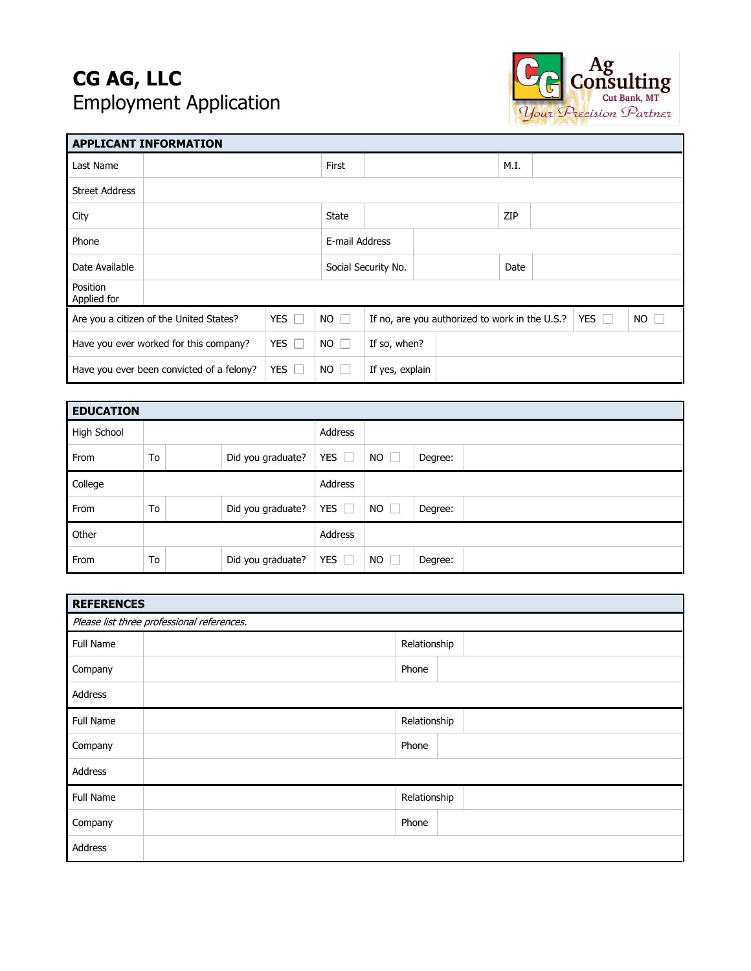## **CG AG, LLC**  Employment Application



| <b>APPLICANT INFORMATION</b>                               |  |            |                |                                                              |  |      |             |  |  |
|------------------------------------------------------------|--|------------|----------------|--------------------------------------------------------------|--|------|-------------|--|--|
| Last Name                                                  |  | First      |                |                                                              |  | M.I. |             |  |  |
| <b>Street Address</b>                                      |  |            |                |                                                              |  |      |             |  |  |
| City                                                       |  |            | <b>State</b>   |                                                              |  | ZIP  |             |  |  |
| Phone                                                      |  |            | E-mail Address |                                                              |  |      |             |  |  |
| Date Available                                             |  |            |                | Social Security No.                                          |  |      | Date        |  |  |
| Position<br>Applied for                                    |  |            |                |                                                              |  |      |             |  |  |
| Are you a citizen of the United States?                    |  | YES I      | $NO$ $\Box$    | YES $\Box$<br>If no, are you authorized to work in the U.S.? |  |      | $NO$ $\Box$ |  |  |
| <b>YES</b><br>Have you ever worked for this company?<br>L. |  |            | $NO$ $\Box$    | If so, when?                                                 |  |      |             |  |  |
| Have you ever been convicted of a felony?                  |  | YES $\Box$ | $NO$ $\Box$    | If yes, explain                                              |  |      |             |  |  |

| <b>EDUCATION</b> |    |  |                   |                 |                    |         |  |
|------------------|----|--|-------------------|-----------------|--------------------|---------|--|
| High School      |    |  |                   | Address         |                    |         |  |
| From             | To |  | Did you graduate? | <b>YES</b><br>L | NO<br>$\mathbf{1}$ | Degree: |  |
| College          |    |  |                   | Address         |                    |         |  |
| From             | To |  | Did you graduate? | YES $\Box$      | $NO$ $\Box$        | Degree: |  |
| Other            |    |  |                   | Address         |                    |         |  |
| From             | To |  | Did you graduate? | YES $\square$   | $NO$ $\Box$        | Degree: |  |

| <b>REFERENCES</b>                          |  |              |  |  |
|--------------------------------------------|--|--------------|--|--|
| Please list three professional references. |  |              |  |  |
| Full Name                                  |  | Relationship |  |  |
| Company                                    |  | Phone        |  |  |
| Address                                    |  |              |  |  |
| Full Name                                  |  | Relationship |  |  |
| Company                                    |  | Phone        |  |  |
| Address                                    |  |              |  |  |
| Full Name                                  |  | Relationship |  |  |
| Company                                    |  | Phone        |  |  |
| Address                                    |  |              |  |  |